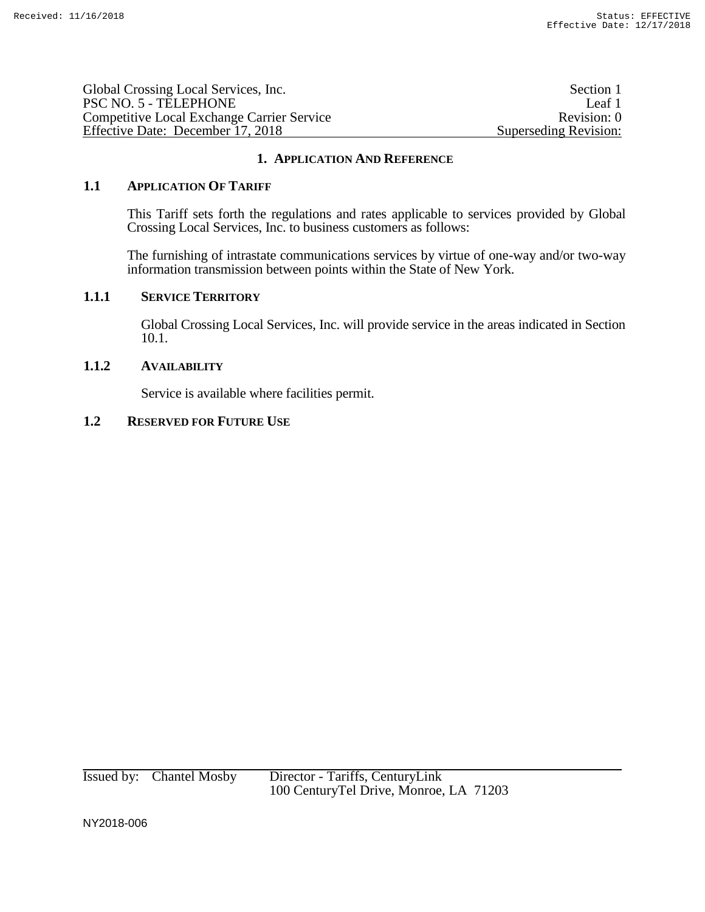| Global Crossing Local Services, Inc.              | Section 1             |
|---------------------------------------------------|-----------------------|
| PSC NO. 5 - TELEPHONE                             | Leaf 1                |
| <b>Competitive Local Exchange Carrier Service</b> | Revision: 0           |
| Effective Date: December 17, 2018                 | Superseding Revision: |

### **1. APPLICATION AND REFERENCE**

### **1.1 APPLICATION OF TARIFF**

This Tariff sets forth the regulations and rates applicable to services provided by Global Crossing Local Services, Inc. to business customers as follows:

The furnishing of intrastate communications services by virtue of one-way and/or two-way information transmission between points within the State of New York.

#### **1.1.1 SERVICE TERRITORY**

Global Crossing Local Services, Inc. will provide service in the areas indicated in Section 10.1.

#### **1.1.2 AVAILABILITY**

Service is available where facilities permit.

## **1.2 RESERVED FOR FUTURE USE**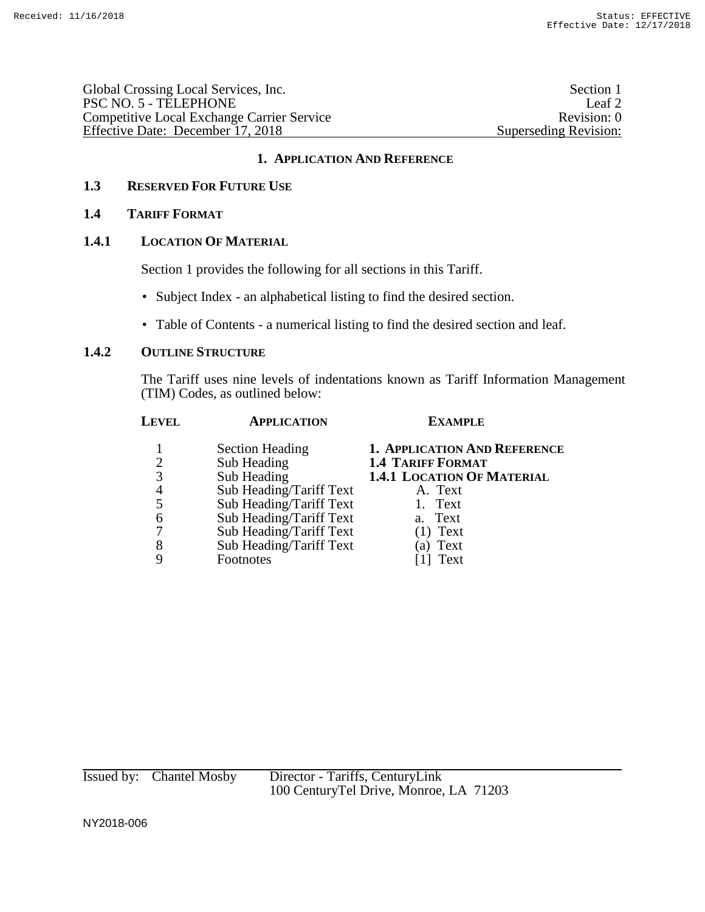| Global Crossing Local Services, Inc.       | Section 1             |
|--------------------------------------------|-----------------------|
| PSC NO. 5 - TELEPHONE                      | Leaf 2                |
| Competitive Local Exchange Carrier Service | Revision: 0           |
| Effective Date: December 17, 2018          | Superseding Revision: |

## **1. APPLICATION AND REFERENCE**

## **1.3 RESERVED FOR FUTURE USE**

### **1.4 TARIFF FORMAT**

### **1.4.1 LOCATION OF MATERIAL**

Section 1 provides the following for all sections in this Tariff.

- Subject Index an alphabetical listing to find the desired section.
- Table of Contents a numerical listing to find the desired section and leaf.

### **1.4.2 OUTLINE STRUCTURE**

The Tariff uses nine levels of indentations known as Tariff Information Management (TIM) Codes, as outlined below:

| Level          | <b>APPLICATION</b>      | <b>EXAMPLE</b>                      |
|----------------|-------------------------|-------------------------------------|
|                | <b>Section Heading</b>  | <b>1. APPLICATION AND REFERENCE</b> |
| $\overline{2}$ | Sub Heading             | <b>1.4 TARIFF FORMAT</b>            |
| 3              | Sub Heading             | <b>1.4.1 LOCATION OF MATERIAL</b>   |
| 4              | Sub Heading/Tariff Text | A. Text                             |
| 5              | Sub Heading/Tariff Text | 1. Text                             |
| 6              | Sub Heading/Tariff Text | a. Text                             |
|                | Sub Heading/Tariff Text | $(1)$ Text                          |
| 8              | Sub Heading/Tariff Text | (a) Text                            |
|                | Footnotes               | Text                                |
|                |                         |                                     |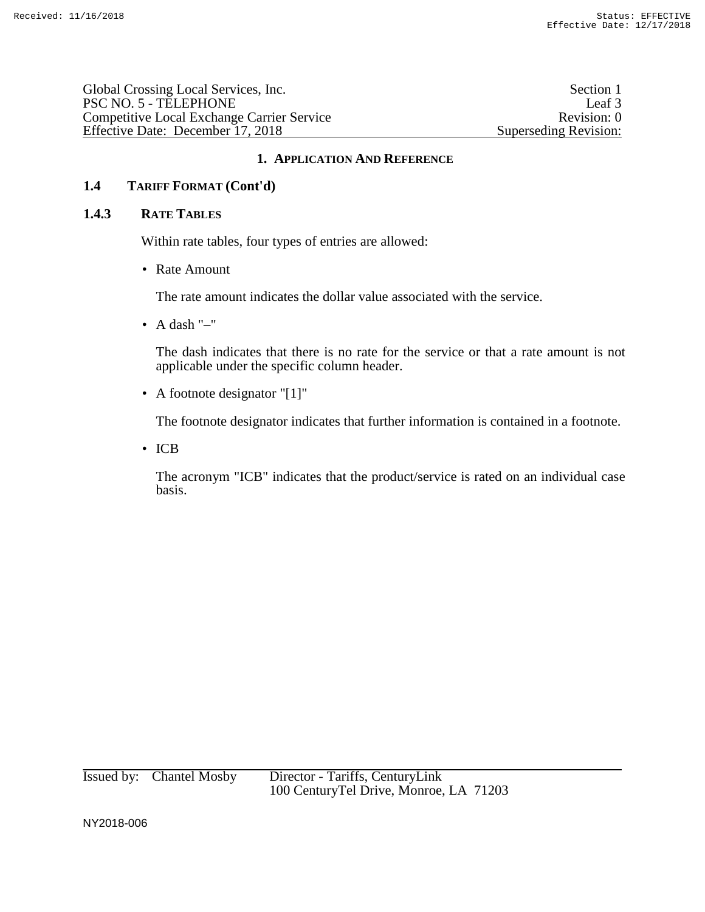Global Crossing Local Services, Inc. Section 1 PSC NO. 5 - TELEPHONE Leaf 3 Competitive Local Exchange Carrier Service Revision: 0 Effective Date: December 17, 2018 Superseding Revision:

### **1. APPLICATION AND REFERENCE**

# **1.4 TARIFF FORMAT (Cont'd)**

#### **1.4.3 RATE TABLES**

Within rate tables, four types of entries are allowed:

• Rate Amount

The rate amount indicates the dollar value associated with the service.

• A dash  $"$ -"

The dash indicates that there is no rate for the service or that a rate amount is not applicable under the specific column header.

• A footnote designator "[1]"

The footnote designator indicates that further information is contained in a footnote.

• ICB

The acronym "ICB" indicates that the product/service is rated on an individual case basis.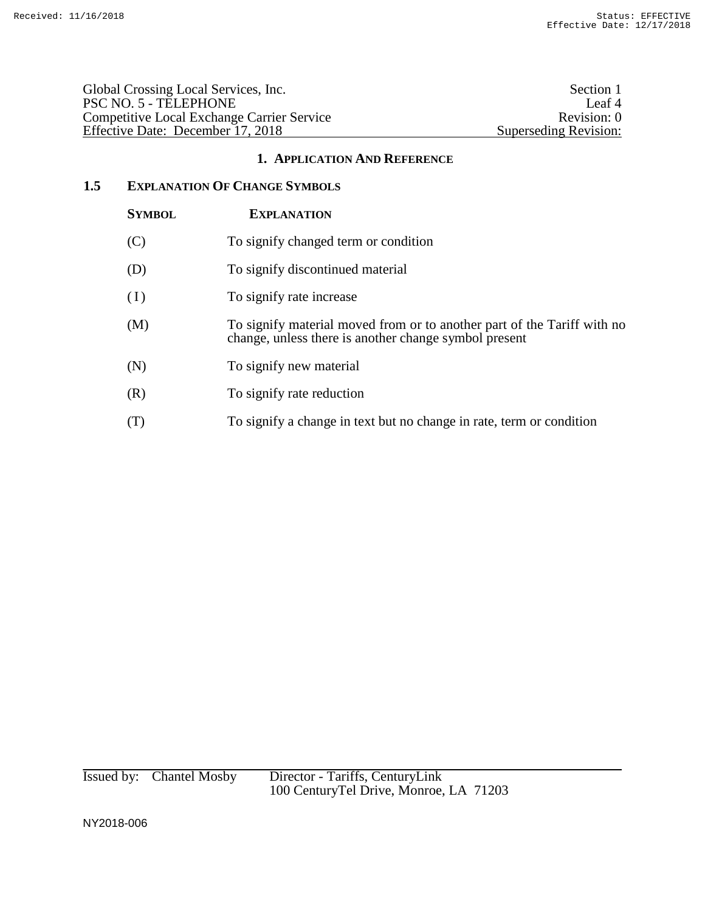| Global Crossing Local Services, Inc.              | Section 1             |
|---------------------------------------------------|-----------------------|
| PSC NO. 5 - TELEPHONE                             | Leaf 4                |
| <b>Competitive Local Exchange Carrier Service</b> | Revision: 0           |
| Effective Date: December 17, 2018                 | Superseding Revision: |
|                                                   |                       |

### **1. APPLICATION AND REFERENCE**

## **1.5 EXPLANATION OF CHANGE SYMBOLS**

| <b>SYMBOL</b> | <b>EXPLANATION</b>                                                                                                               |
|---------------|----------------------------------------------------------------------------------------------------------------------------------|
| (C)           | To signify changed term or condition                                                                                             |
| (D)           | To signify discontinued material                                                                                                 |
| (I)           | To signify rate increase                                                                                                         |
| (M)           | To signify material moved from or to another part of the Tariff with no<br>change, unless there is another change symbol present |
| (N)           | To signify new material                                                                                                          |
| (R)           | To signify rate reduction                                                                                                        |
| (T)           | To signify a change in text but no change in rate, term or condition                                                             |

Issued by: Chantel Mosby Director - Tariffs, CenturyLink 100 CenturyTel Drive, Monroe, LA 71203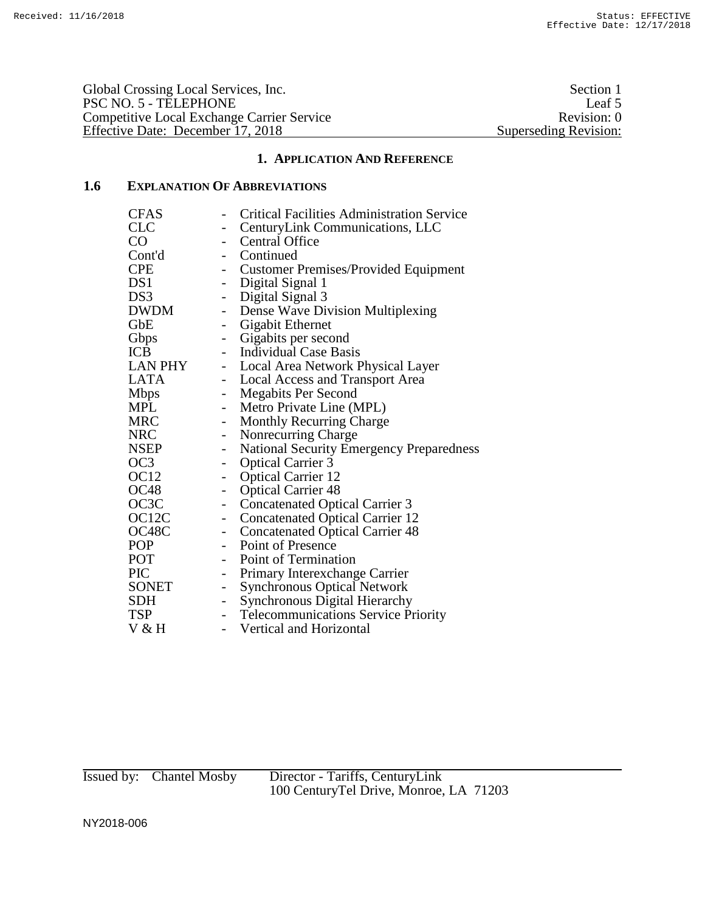Global Crossing Local Services, Inc.<br>
PSC NO. 5 - TELEPHONE Leaf 5 PSC NO. 5 - TELEPHONE Leaf 5<br>
Competitive Local Exchange Carrier Service Revision: 0 Competitive Local Exchange Carrier Service Revision: 0 Effective Date: December 17, 2018 Superseding Revision:

# **1. APPLICATION AND REFERENCE**

# **1.6 EXPLANATION OF ABBREVIATIONS**

| <b>CFAS</b>        |                          | <b>Critical Facilities Administration Service</b> |
|--------------------|--------------------------|---------------------------------------------------|
| <b>CLC</b>         |                          | CenturyLink Communications, LLC                   |
| CO                 | $\overline{\phantom{a}}$ | <b>Central Office</b>                             |
| Cont'd             |                          | - Continued                                       |
| <b>CPE</b>         |                          | - Customer Premises/Provided Equipment            |
| DS1                |                          | - Digital Signal 1                                |
| DS3                | $\qquad \qquad -$        | Digital Signal 3                                  |
| DWDM               | $\overline{\phantom{a}}$ | Dense Wave Division Multiplexing                  |
| GbE                | $\overline{\phantom{a}}$ | Gigabit Ethernet                                  |
| Gbps               | $\overline{\phantom{a}}$ | Gigabits per second                               |
| ICB                |                          | - Individual Case Basis                           |
| LAN PHY            |                          | - Local Area Network Physical Layer               |
| LATA               | $\overline{\phantom{a}}$ | <b>Local Access and Transport Area</b>            |
| <b>Mbps</b>        | $ \,$                    | <b>Megabits Per Second</b>                        |
| <b>MPL</b>         | $\overline{\phantom{a}}$ | Metro Private Line (MPL)                          |
| <b>MRC</b>         | $\overline{\phantom{a}}$ | <b>Monthly Recurring Charge</b>                   |
| NRC                | $\overline{\phantom{0}}$ | Nonrecurring Charge                               |
| NSEP               | $\overline{\phantom{0}}$ | <b>National Security Emergency Preparedness</b>   |
| OC <sub>3</sub>    | $\pm$                    | <b>Optical Carrier 3</b>                          |
| OC <sub>12</sub>   | $\qquad \qquad -$        | <b>Optical Carrier 12</b>                         |
| OC48               | $\qquad \qquad -$        | <b>Optical Carrier 48</b>                         |
| OC3C               | $\qquad \qquad -$        | <b>Concatenated Optical Carrier 3</b>             |
| OC <sub>12</sub> C | $\overline{\phantom{0}}$ | <b>Concatenated Optical Carrier 12</b>            |
| OC48C              | $ \,$                    | <b>Concatenated Optical Carrier 48</b>            |
| POP                |                          | - Point of Presence                               |
| POT                | $\sim 10^{-1}$           | Point of Termination                              |
| PIC                | $\overline{\phantom{0}}$ | Primary Interexchange Carrier                     |
| SONET              | $\overline{\phantom{a}}$ | <b>Synchronous Optical Network</b>                |
| SDH                | $\overline{\phantom{a}}$ | <b>Synchronous Digital Hierarchy</b>              |
| TSP                | $\overline{\phantom{a}}$ | <b>Telecommunications Service Priority</b>        |
| V & H              | $\overline{\phantom{a}}$ | Vertical and Horizontal                           |
|                    |                          |                                                   |